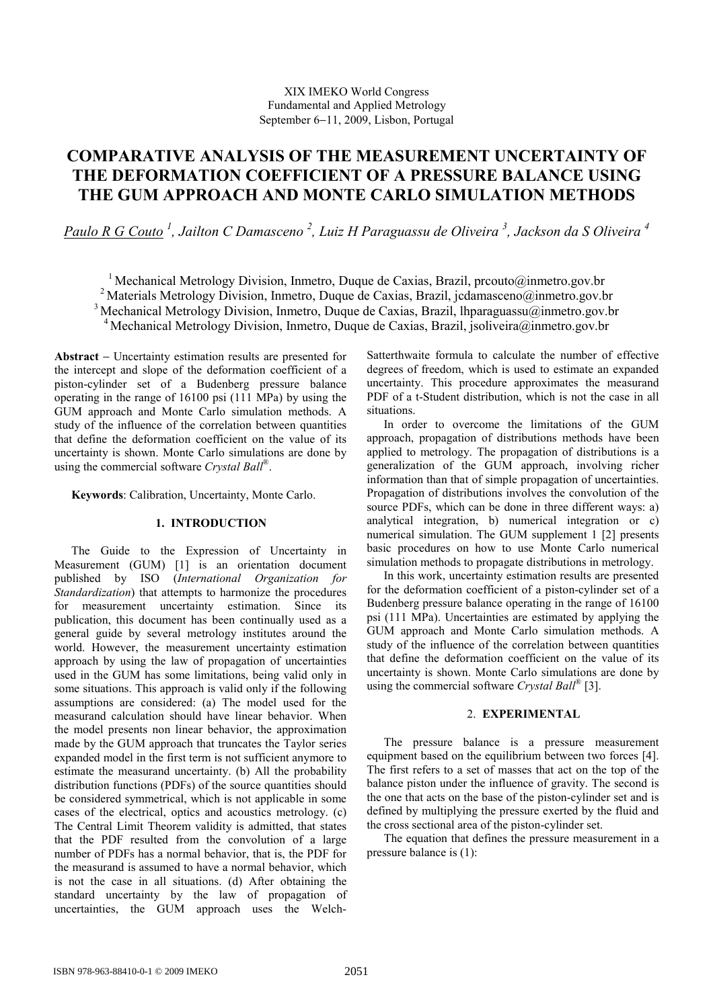# **COMPARATIVE ANALYSIS OF THE MEASUREMENT UNCERTAINTY OF THE DEFORMATION COEFFICIENT OF A PRESSURE BALANCE USING THE GUM APPROACH AND MONTE CARLO SIMULATION METHODS**

*Paulo R G Couto <sup>1</sup> , Jailton C Damasceno 2 , Luiz H Paraguassu de Oliveira 3 , Jackson da S Oliveira 4*

<sup>1</sup> Mechanical Metrology Division, Inmetro, Duque de Caxias, Brazil, prcouto@inmetro.gov.br <sup>2</sup> Materials Metrology Division, Inmetro, Duque de Caxias, Brazil, jcdamasceno@inmetro.gov.br <sup>3</sup> Mechanical Metrology Division, Inmetro, Duque de Caxias, Brazil, lhparaguassu $\omega$ inmetro.gov.br <sup>4</sup> Mechanical Metrology Division, Inmetro, Duque de Caxias, Brazil, jsoliveira@inmetro.gov.br

**Abstract** − Uncertainty estimation results are presented for the intercept and slope of the deformation coefficient of a piston-cylinder set of a Budenberg pressure balance operating in the range of 16100 psi (111 MPa) by using the GUM approach and Monte Carlo simulation methods. A study of the influence of the correlation between quantities that define the deformation coefficient on the value of its uncertainty is shown. Monte Carlo simulations are done by using the commercial software *Crystal Ball*®.

**Keywords**: Calibration, Uncertainty, Monte Carlo.

## **1. INTRODUCTION**

The Guide to the Expression of Uncertainty in Measurement (GUM) [1] is an orientation document published by ISO (*International Organization for Standardization*) that attempts to harmonize the procedures for measurement uncertainty estimation. Since its publication, this document has been continually used as a general guide by several metrology institutes around the world. However, the measurement uncertainty estimation approach by using the law of propagation of uncertainties used in the GUM has some limitations, being valid only in some situations. This approach is valid only if the following assumptions are considered: (a) The model used for the measurand calculation should have linear behavior. When the model presents non linear behavior, the approximation made by the GUM approach that truncates the Taylor series expanded model in the first term is not sufficient anymore to estimate the measurand uncertainty. (b) All the probability distribution functions (PDFs) of the source quantities should be considered symmetrical, which is not applicable in some cases of the electrical, optics and acoustics metrology. (c) The Central Limit Theorem validity is admitted, that states that the PDF resulted from the convolution of a large number of PDFs has a normal behavior, that is, the PDF for the measurand is assumed to have a normal behavior, which is not the case in all situations. (d) After obtaining the standard uncertainty by the law of propagation of uncertainties, the GUM approach uses the WelchSatterthwaite formula to calculate the number of effective degrees of freedom, which is used to estimate an expanded uncertainty. This procedure approximates the measurand PDF of a t-Student distribution, which is not the case in all situations.

In order to overcome the limitations of the GUM approach, propagation of distributions methods have been applied to metrology. The propagation of distributions is a generalization of the GUM approach, involving richer information than that of simple propagation of uncertainties. Propagation of distributions involves the convolution of the source PDFs, which can be done in three different ways: a) analytical integration, b) numerical integration or c) numerical simulation. The GUM supplement 1 [2] presents basic procedures on how to use Monte Carlo numerical simulation methods to propagate distributions in metrology.

In this work, uncertainty estimation results are presented for the deformation coefficient of a piston-cylinder set of a Budenberg pressure balance operating in the range of 16100 psi (111 MPa). Uncertainties are estimated by applying the GUM approach and Monte Carlo simulation methods. A study of the influence of the correlation between quantities that define the deformation coefficient on the value of its uncertainty is shown. Monte Carlo simulations are done by using the commercial software *Crystal Ball*® [3].

## 2. **EXPERIMENTAL**

The pressure balance is a pressure measurement equipment based on the equilibrium between two forces [4]. The first refers to a set of masses that act on the top of the balance piston under the influence of gravity. The second is the one that acts on the base of the piston-cylinder set and is defined by multiplying the pressure exerted by the fluid and the cross sectional area of the piston-cylinder set.

The equation that defines the pressure measurement in a pressure balance is (1):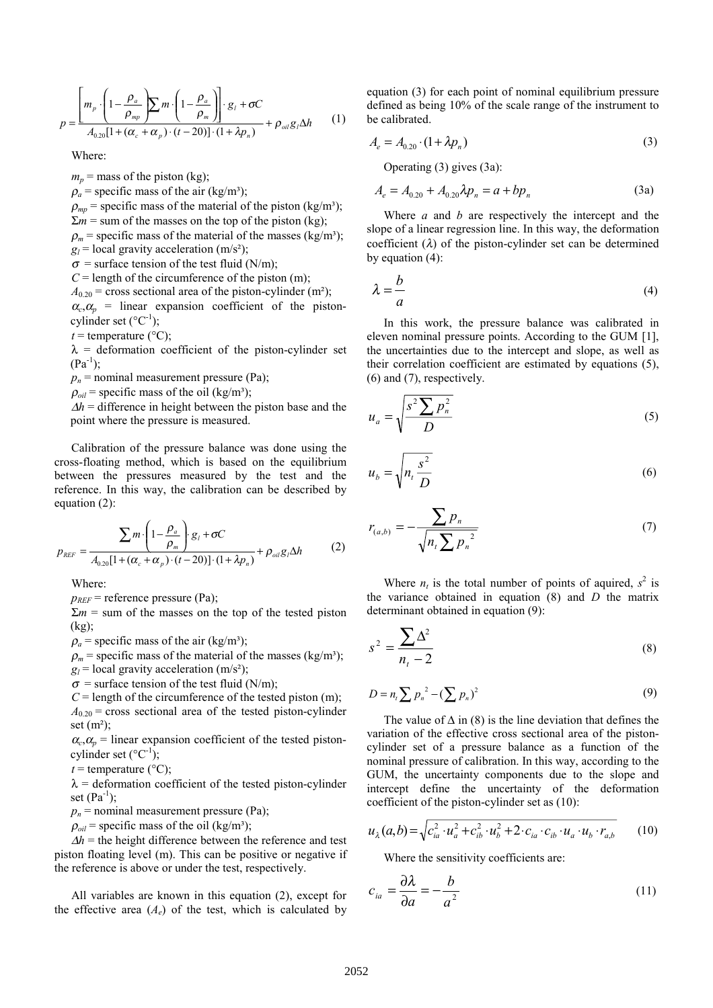$$
p = \frac{\left[m_p \cdot \left(1 - \frac{\rho_a}{\rho_{mp}}\right) \sum m \cdot \left(1 - \frac{\rho_a}{\rho_m}\right)\right] \cdot g_i + \sigma C}{A_{0.20}[1 + (\alpha_c + \alpha_p) \cdot (t - 20)] \cdot (1 + \lambda p_n)} + \rho_{oil} g_i \Delta h \tag{1}
$$

Where:

 $m_p$  = mass of the piston (kg);

 $\rho_a$  = specific mass of the air (kg/m<sup>3</sup>);

 $\rho_{mp}$  = specific mass of the material of the piston (kg/m<sup>3</sup>);  $\Sigma m$  = sum of the masses on the top of the piston (kg);

 $\rho_m$  = specific mass of the material of the masses (kg/m<sup>3</sup>);

 $g_l$  = local gravity acceleration (m/s<sup>2</sup>);

 $\sigma$  = surface tension of the test fluid (N/m);

 $C =$  length of the circumference of the piston (m);

 $A_{0,20}$  = cross sectional area of the piston-cylinder (m<sup>2</sup>);

 $\alpha_c, \alpha_p$  = linear expansion coefficient of the pistoncylinder set  $({}^{\circ}C^{-1})$ ;

 $t =$  temperature ( $^{\circ}$ C);

 $\lambda$  = deformation coefficient of the piston-cylinder set  $(Pa^{-1})$ ;

 $p_n$  = nominal measurement pressure (Pa);

 $\rho_{oil}$  = specific mass of the oil (kg/m<sup>3</sup>);

 $\Delta h$  = difference in height between the piston base and the point where the pressure is measured.

Calibration of the pressure balance was done using the cross-floating method, which is based on the equilibrium between the pressures measured by the test and the reference. In this way, the calibration can be described by equation (2):

$$
p_{REF} = \frac{\sum m \cdot \left(1 - \frac{\rho_a}{\rho_m}\right) g_i + \sigma C}{A_{0.20}[1 + (\alpha_c + \alpha_p) \cdot (t - 20)] \cdot (1 + \lambda p_n)} + \rho_{oil} g_i \Delta h \tag{2}
$$

Where:

 $p_{REF}$  = reference pressure (Pa);

 $\Sigma m =$  sum of the masses on the top of the tested piston (kg);

 $\rho_a$  = specific mass of the air (kg/m<sup>3</sup>);

 $\rho_m$  = specific mass of the material of the masses (kg/m<sup>3</sup>);

 $g_l$  = local gravity acceleration (m/s<sup>2</sup>);

 $\sigma$  = surface tension of the test fluid (N/m);

 $C$  = length of the circumference of the tested piston (m);

 $A_{0,20}$  = cross sectional area of the tested piston-cylinder set  $(m<sup>2</sup>)$ ;

 $\alpha_c$ ,  $\alpha_p$  = linear expansion coefficient of the tested pistoncylinder set  $({}^{\circ}C^{-1})$ ;

 $t =$  temperature ( $^{\circ}$ C);

 $\lambda$  = deformation coefficient of the tested piston-cylinder set  $(Pa^{-1})$ ;

 $p_n$  = nominal measurement pressure (Pa);

 $\rho_{oil}$  = specific mass of the oil (kg/m<sup>3</sup>);

 $\Delta h$  = the height difference between the reference and test piston floating level (m). This can be positive or negative if the reference is above or under the test, respectively.

All variables are known in this equation (2), except for the effective area  $(A_e)$  of the test, which is calculated by equation (3) for each point of nominal equilibrium pressure defined as being 10% of the scale range of the instrument to be calibrated.

$$
A_e = A_{0.20} \cdot (1 + \lambda p_n) \tag{3}
$$

Operating (3) gives (3a):

$$
A_e = A_{0.20} + A_{0.20} \lambda p_n = a + bp_n
$$
 (3a)

Where *a* and *b* are respectively the intercept and the slope of a linear regression line. In this way, the deformation coefficient  $(\lambda)$  of the piston-cylinder set can be determined by equation (4):

$$
\lambda = \frac{b}{a} \tag{4}
$$

In this work, the pressure balance was calibrated in eleven nominal pressure points. According to the GUM [1], the uncertainties due to the intercept and slope, as well as their correlation coefficient are estimated by equations (5), (6) and (7), respectively.

$$
u_a = \sqrt{\frac{s^2 \sum p_n^2}{D}} \tag{5}
$$

$$
u_b = \sqrt{n_t \frac{s^2}{D}}
$$
 (6)

$$
r_{(a,b)} = -\frac{\sum p_n}{\sqrt{n_L \sum p_n^2}}
$$
 (7)

Where  $n_t$  is the total number of points of aquired,  $s^2$  is the variance obtained in equation (8) and *D* the matrix determinant obtained in equation (9):

$$
s^2 = \frac{\sum \Delta^2}{n_t - 2} \tag{8}
$$

$$
D = n_{i} \sum p_{n}^{2} - (\sum p_{n})^{2}
$$
 (9)

The value of  $\Delta$  in (8) is the line deviation that defines the variation of the effective cross sectional area of the pistoncylinder set of a pressure balance as a function of the nominal pressure of calibration. In this way, according to the GUM, the uncertainty components due to the slope and intercept define the uncertainty of the deformation coefficient of the piston-cylinder set as (10):

$$
u_{\lambda}(a,b) = \sqrt{c_{ia}^2 \cdot u_a^2 + c_{ib}^2 \cdot u_b^2 + 2 \cdot c_{ia} \cdot c_{ib} \cdot u_a \cdot u_b \cdot r_{a,b}}
$$
 (10)

Where the sensitivity coefficients are:

$$
c_{ia} = \frac{\partial \lambda}{\partial a} = -\frac{b}{a^2} \tag{11}
$$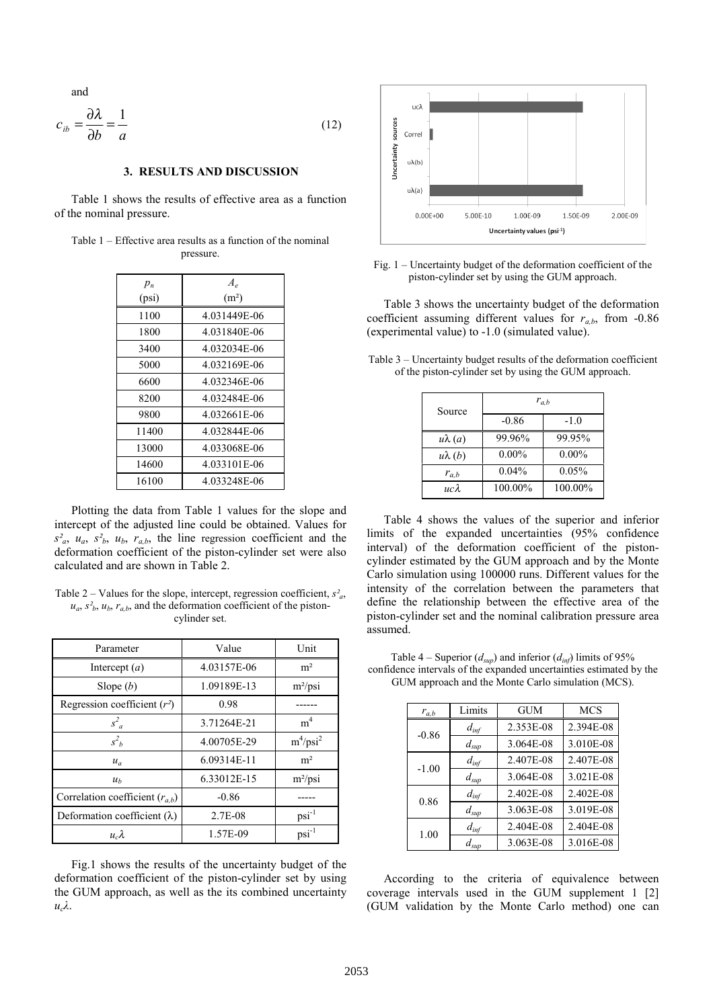and

$$
c_{ib} = \frac{\partial \lambda}{\partial b} = \frac{1}{a}
$$
 (12)

### **3. RESULTS AND DISCUSSION**

Table 1 shows the results of effective area as a function of the nominal pressure.

| Table 1 – Effective area results as a function of the nominal |           |  |  |
|---------------------------------------------------------------|-----------|--|--|
|                                                               | pressure. |  |  |

| $p_n$ | $A_{\rho}$        |  |  |
|-------|-------------------|--|--|
| (psi) | (m <sup>2</sup> ) |  |  |
| 1100  | 4.031449E-06      |  |  |
| 1800  | 4.031840E-06      |  |  |
| 3400  | 4.032034E-06      |  |  |
| 5000  | 4.032169E-06      |  |  |
| 6600  | 4.032346E-06      |  |  |
| 8200  | 4.032484E-06      |  |  |
| 9800  | 4.032661E-06      |  |  |
| 11400 | 4.032844E-06      |  |  |
| 13000 | 4.033068E-06      |  |  |
| 14600 | 4.033101E-06      |  |  |
| 16100 | 4.033248E-06      |  |  |

Plotting the data from Table 1 values for the slope and intercept of the adjusted line could be obtained. Values for  $s^2_a$ ,  $u_a$ ,  $s^2_b$ ,  $u_b$ ,  $r_{a,b}$ , the line regression coefficient and the deformation coefficient of the piston-cylinder set were also calculated and are shown in Table 2.

| Table 2 – Values for the slope, intercept, regression coefficient, $s^2_a$ ,                    |
|-------------------------------------------------------------------------------------------------|
| $u_a$ , $s^2$ <sub>b</sub> , $u_b$ , $r_{a,b}$ , and the deformation coefficient of the piston- |
| cylinder set.                                                                                   |

| Parameter                           | Value       | Unit           |
|-------------------------------------|-------------|----------------|
| Intercept $(a)$                     | 4.03157E-06 | m <sup>2</sup> |
| Slope $(b)$                         | 1.09189E-13 | $m^2/psi$      |
| Regression coefficient $(r^2)$      | 0.98        |                |
| $s^2_{a}$                           | 3.71264E-21 | m <sup>4</sup> |
| $s^2$                               | 4.00705E-29 | $m^4/psi^2$    |
| $u_a$                               | 6.09314E-11 | m <sup>2</sup> |
| u <sub>b</sub>                      | 6.33012E-15 | $m^2/psi$      |
| Correlation coefficient $(r_{a,b})$ | $-0.86$     |                |
| Deformation coefficient $(\lambda)$ | 2.7E-08     | $psi^{-1}$     |
| $u_{c} \lambda$                     | 1.57E-09    | $psi^{-1}$     |

Fig.1 shows the results of the uncertainty budget of the deformation coefficient of the piston-cylinder set by using the GUM approach, as well as the its combined uncertainty *ucλ*.



Fig. 1 – Uncertainty budget of the deformation coefficient of the piston-cylinder set by using the GUM approach.

Table 3 shows the uncertainty budget of the deformation coefficient assuming different values for  $r_{a,b}$ , from -0.86 (experimental value) to -1.0 (simulated value).

| Source        | $r_{a,b}$ |          |  |
|---------------|-----------|----------|--|
|               | $-0.86$   | $-1.0$   |  |
| $u\lambda(a)$ | 99.96%    | 99.95%   |  |
| $u\lambda(b)$ | $0.00\%$  | $0.00\%$ |  |
| $r_{a,b}$     | 0.04%     | 0.05%    |  |
| ис $\lambda$  | 100.00%   | 100.00%  |  |

Table 3 – Uncertainty budget results of the deformation coefficient of the piston-cylinder set by using the GUM approach.

Table 4 shows the values of the superior and inferior limits of the expanded uncertainties (95% confidence interval) of the deformation coefficient of the pistoncylinder estimated by the GUM approach and by the Monte Carlo simulation using 100000 runs. Different values for the intensity of the correlation between the parameters that define the relationship between the effective area of the piston-cylinder set and the nominal calibration pressure area assumed.

Table 4 – Superior  $(d_{\text{sub}})$  and inferior  $(d_{\text{inf}})$  limits of 95% confidence intervals of the expanded uncertainties estimated by the GUM approach and the Monte Carlo simulation (MCS).

| $r_{a,b}$ | Limits           | <b>GUM</b> | <b>MCS</b> |
|-----------|------------------|------------|------------|
| $-0.86$   | $d_{inf}$        | 2.353E-08  | 2.394E-08  |
|           | $d_{sup}$        | 3.064E-08  | 3.010E-08  |
| $-1.00$   | $d_{inf}$        | 2.407E-08  | 2.407E-08  |
|           | $d_{\text{sup}}$ | 3.064E-08  | 3.021E-08  |
| 0.86      | $d_{inf}$        | 2.402E-08  | 2.402E-08  |
|           | $d_{\text{sup}}$ | 3.063E-08  | 3.019E-08  |
| 1.00      | $d_{inf}$        | 2.404E-08  | 2.404E-08  |
|           | $d_{\text{sup}}$ | 3.063E-08  | 3.016E-08  |

According to the criteria of equivalence between coverage intervals used in the GUM supplement 1 [2] (GUM validation by the Monte Carlo method) one can